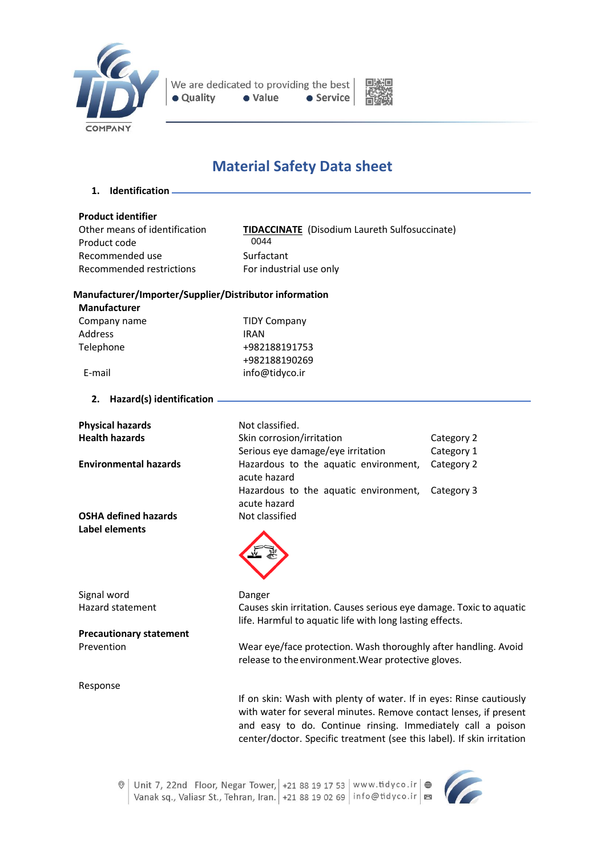



# **Material Safety Data sheet**

**1. Identification**

**Product identifier** Product code Recommended use Surfactant Recommended restrictions For industrial use only

**TIDACCINATE** (Disodium Laureth Sulfosuccinate)<br>0044

## **Manufacturer/Importer/Supplier/Distributor information**

| Manufacturer            |
|-------------------------|
| $\Gamma$ ananan'i nanan |

Company name TIDY Company Address IRAN Telephone +982188191753 +982188190269 E-mail info@tidyco.ir

**2. Hazard(s) identification**

| <b>Physical hazards</b>        | Not classified.                                                                                                                                                                                                                                                                   |            |
|--------------------------------|-----------------------------------------------------------------------------------------------------------------------------------------------------------------------------------------------------------------------------------------------------------------------------------|------------|
| <b>Health hazards</b>          | Skin corrosion/irritation                                                                                                                                                                                                                                                         | Category 2 |
|                                | Serious eye damage/eye irritation                                                                                                                                                                                                                                                 | Category 1 |
| <b>Environmental hazards</b>   | Hazardous to the aquatic environment,<br>acute hazard                                                                                                                                                                                                                             | Category 2 |
|                                | Hazardous to the aquatic environment,<br>acute hazard                                                                                                                                                                                                                             | Category 3 |
| <b>OSHA defined hazards</b>    | Not classified                                                                                                                                                                                                                                                                    |            |
| Label elements                 |                                                                                                                                                                                                                                                                                   |            |
| Signal word                    | Danger                                                                                                                                                                                                                                                                            |            |
| <b>Hazard statement</b>        | Causes skin irritation. Causes serious eye damage. Toxic to aquatic<br>life. Harmful to aquatic life with long lasting effects.                                                                                                                                                   |            |
| <b>Precautionary statement</b> |                                                                                                                                                                                                                                                                                   |            |
| Prevention                     | Wear eye/face protection. Wash thoroughly after handling. Avoid<br>release to the environment. Wear protective gloves.                                                                                                                                                            |            |
| Response                       |                                                                                                                                                                                                                                                                                   |            |
|                                | If on skin: Wash with plenty of water. If in eyes: Rinse cautiously<br>with water for several minutes. Remove contact lenses, if present<br>and easy to do. Continue rinsing. Immediately call a poison<br>center/doctor. Specific treatment (see this label). If skin irritation |            |

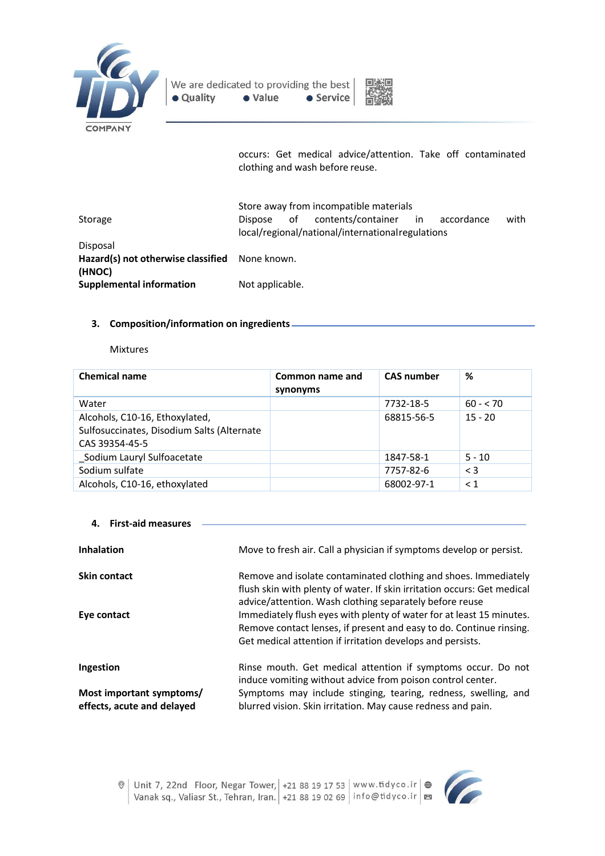



occurs: Get medical advice/attention. Take off contaminated clothing and wash before reuse.

|                                                          | Store away from incompatible materials                                                                              |
|----------------------------------------------------------|---------------------------------------------------------------------------------------------------------------------|
| Storage                                                  | contents/container<br>with<br>of<br>in<br>accordance<br>Dispose<br>local/regional/national/internationalregulations |
| Disposal                                                 |                                                                                                                     |
| Hazard(s) not otherwise classified None known.<br>(HNOC) |                                                                                                                     |
| <b>Supplemental information</b>                          | Not applicable.                                                                                                     |

# **3. Composition/information on ingredients**

#### Mixtures

| <b>Chemical name</b>                                                                           | Common name and<br>synonyms | <b>CAS number</b> | %          |
|------------------------------------------------------------------------------------------------|-----------------------------|-------------------|------------|
| Water                                                                                          |                             | 7732-18-5         | $60 - 570$ |
| Alcohols, C10-16, Ethoxylated,<br>Sulfosuccinates, Disodium Salts (Alternate<br>CAS 39354-45-5 |                             | 68815-56-5        | $15 - 20$  |
| Sodium Lauryl Sulfoacetate                                                                     |                             | 1847-58-1         | $5 - 10$   |
| Sodium sulfate                                                                                 |                             | 7757-82-6         | $\leq$ 3   |
| Alcohols, C10-16, ethoxylated                                                                  |                             | 68002-97-1        | $\leq 1$   |

| <b>First-aid measures</b>                              |                                                                                                                                                                                                           |
|--------------------------------------------------------|-----------------------------------------------------------------------------------------------------------------------------------------------------------------------------------------------------------|
| <b>Inhalation</b>                                      | Move to fresh air. Call a physician if symptoms develop or persist.                                                                                                                                       |
| <b>Skin contact</b>                                    | Remove and isolate contaminated clothing and shoes. Immediately<br>flush skin with plenty of water. If skin irritation occurs: Get medical<br>advice/attention. Wash clothing separately before reuse     |
| Eye contact                                            | Immediately flush eyes with plenty of water for at least 15 minutes.<br>Remove contact lenses, if present and easy to do. Continue rinsing.<br>Get medical attention if irritation develops and persists. |
| Ingestion                                              | Rinse mouth. Get medical attention if symptoms occur. Do not<br>induce vomiting without advice from poison control center.                                                                                |
| Most important symptoms/<br>effects, acute and delayed | Symptoms may include stinging, tearing, redness, swelling, and<br>blurred vision. Skin irritation. May cause redness and pain.                                                                            |

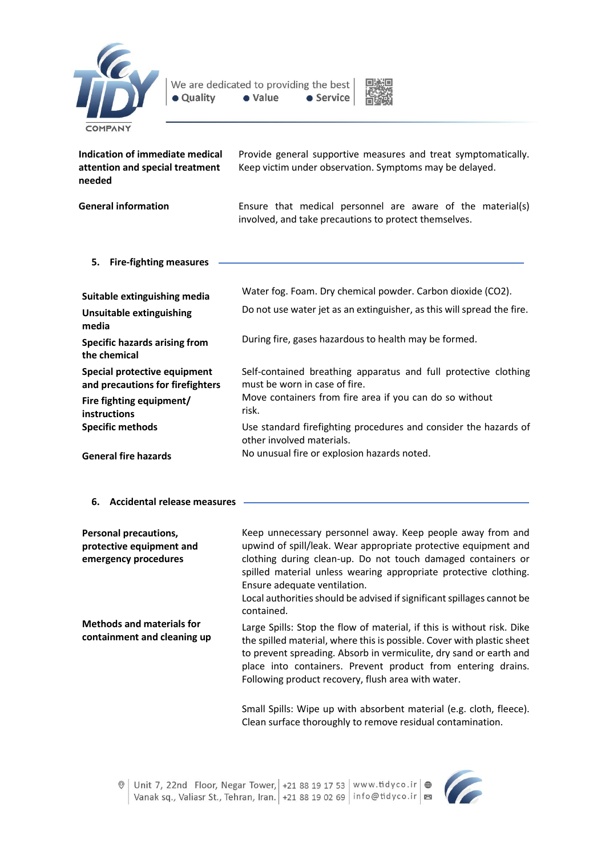



| Indication of immediate medical<br>attention and special treatment<br>needed | Provide general supportive measures and treat symptomatically.<br>Keep victim under observation. Symptoms may be delayed. |
|------------------------------------------------------------------------------|---------------------------------------------------------------------------------------------------------------------------|
| <b>General information</b>                                                   | Ensure that medical personnel are aware of the material(s)<br>involved, and take precautions to protect themselves.       |
| 5.<br><b>Fire-fighting measures</b>                                          |                                                                                                                           |
| Suitable extinguishing media                                                 | Water fog. Foam. Dry chemical powder. Carbon dioxide (CO2).                                                               |
| <b>Unsuitable extinguishing</b><br>media                                     | Do not use water jet as an extinguisher, as this will spread the fire.                                                    |
| <b>Specific hazards arising from</b><br>the chemical                         | During fire, gases hazardous to health may be formed.                                                                     |
| Special protective equipment<br>and precautions for firefighters             | Self-contained breathing apparatus and full protective clothing<br>must be worn in case of fire.                          |
| Fire fighting equipment/<br>instructions                                     | Move containers from fire area if you can do so without<br>risk.                                                          |
| <b>Specific methods</b>                                                      | Use standard firefighting procedures and consider the hazards of<br>other involved materials.                             |
| <b>General fire hazards</b>                                                  | No unusual fire or explosion hazards noted.                                                                               |

**6. Accidental release measures**

| <b>Personal precautions,</b><br>protective equipment and<br>emergency procedures | Keep unnecessary personnel away. Keep people away from and<br>upwind of spill/leak. Wear appropriate protective equipment and<br>clothing during clean-up. Do not touch damaged containers or<br>spilled material unless wearing appropriate protective clothing.<br>Ensure adequate ventilation.<br>Local authorities should be advised if significant spillages cannot be<br>contained. |
|----------------------------------------------------------------------------------|-------------------------------------------------------------------------------------------------------------------------------------------------------------------------------------------------------------------------------------------------------------------------------------------------------------------------------------------------------------------------------------------|
| <b>Methods and materials for</b><br>containment and cleaning up                  | Large Spills: Stop the flow of material, if this is without risk. Dike<br>the spilled material, where this is possible. Cover with plastic sheet<br>to prevent spreading. Absorb in vermiculite, dry sand or earth and<br>place into containers. Prevent product from entering drains.<br>Following product recovery, flush area with water.                                              |
|                                                                                  | Cassell Castler (Altres and article educational associated for an electronic Clement ).                                                                                                                                                                                                                                                                                                   |

Small Spills: Wipe up with absorbent material (e.g. cloth, fleece). Clean surface thoroughly to remove residual contamination.

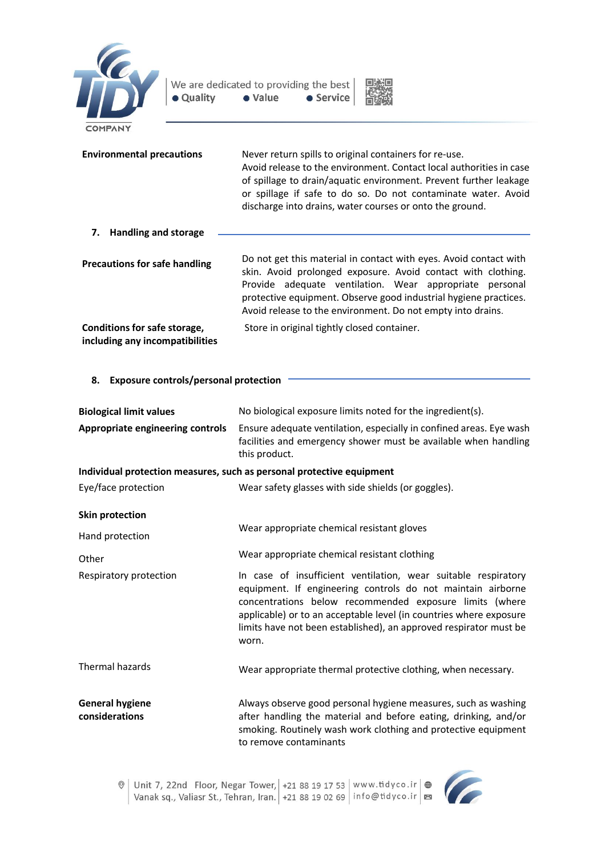



| <b>Environmental precautions</b>                                | Never return spills to original containers for re-use.<br>Avoid release to the environment. Contact local authorities in case<br>of spillage to drain/aquatic environment. Prevent further leakage<br>or spillage if safe to do so. Do not contaminate water. Avoid<br>discharge into drains, water courses or onto the ground. |
|-----------------------------------------------------------------|---------------------------------------------------------------------------------------------------------------------------------------------------------------------------------------------------------------------------------------------------------------------------------------------------------------------------------|
| <b>Handling and storage</b><br>7.                               |                                                                                                                                                                                                                                                                                                                                 |
| <b>Precautions for safe handling</b>                            | Do not get this material in contact with eyes. Avoid contact with<br>skin. Avoid prolonged exposure. Avoid contact with clothing.<br>Provide adequate ventilation. Wear appropriate personal<br>protective equipment. Observe good industrial hygiene practices.<br>Avoid release to the environment. Do not empty into drains. |
| Conditions for safe storage,<br>including any incompatibilities | Store in original tightly closed container.                                                                                                                                                                                                                                                                                     |

# **8. Exposure controls/personal protection**

| <b>Biological limit values</b>           | No biological exposure limits noted for the ingredient(s).                                                                                                                                                                                                                                                                                   |
|------------------------------------------|----------------------------------------------------------------------------------------------------------------------------------------------------------------------------------------------------------------------------------------------------------------------------------------------------------------------------------------------|
| Appropriate engineering controls         | Ensure adequate ventilation, especially in confined areas. Eye wash<br>facilities and emergency shower must be available when handling<br>this product.                                                                                                                                                                                      |
|                                          | Individual protection measures, such as personal protective equipment                                                                                                                                                                                                                                                                        |
| Eye/face protection                      | Wear safety glasses with side shields (or goggles).                                                                                                                                                                                                                                                                                          |
| <b>Skin protection</b>                   |                                                                                                                                                                                                                                                                                                                                              |
| Hand protection                          | Wear appropriate chemical resistant gloves                                                                                                                                                                                                                                                                                                   |
| Other                                    | Wear appropriate chemical resistant clothing                                                                                                                                                                                                                                                                                                 |
| Respiratory protection                   | In case of insufficient ventilation, wear suitable respiratory<br>equipment. If engineering controls do not maintain airborne<br>concentrations below recommended exposure limits (where<br>applicable) or to an acceptable level (in countries where exposure<br>limits have not been established), an approved respirator must be<br>worn. |
| Thermal hazards                          | Wear appropriate thermal protective clothing, when necessary.                                                                                                                                                                                                                                                                                |
| <b>General hygiene</b><br>considerations | Always observe good personal hygiene measures, such as washing<br>after handling the material and before eating, drinking, and/or<br>smoking. Routinely wash work clothing and protective equipment<br>to remove contaminants                                                                                                                |

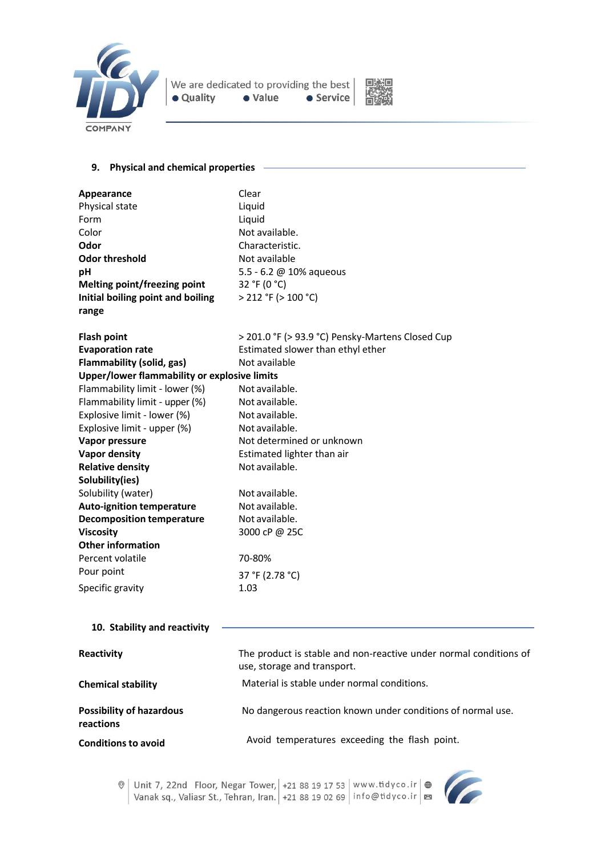



### **9. Physical and chemical properties**

| Appearance                                   | Clear                                            |
|----------------------------------------------|--------------------------------------------------|
| Physical state                               | Liquid                                           |
| Form                                         | Liquid                                           |
| Color                                        | Not available.                                   |
| Odor                                         | Characteristic.                                  |
| <b>Odor threshold</b>                        | Not available                                    |
| pH                                           | 5.5 - 6.2 @ 10% aqueous                          |
| Melting point/freezing point                 | 32 °F (0 °C)                                     |
| Initial boiling point and boiling            | $>$ 212 °F ( $>$ 100 °C)                         |
| range                                        |                                                  |
| <b>Flash point</b>                           | > 201.0 °F (> 93.9 °C) Pensky-Martens Closed Cup |
| <b>Evaporation rate</b>                      | Estimated slower than ethyl ether                |
| Flammability (solid, gas)                    | Not available                                    |
| Upper/lower flammability or explosive limits |                                                  |
| Flammability limit - lower (%)               | Not available.                                   |
| Flammability limit - upper (%)               | Not available.                                   |
| Explosive limit - lower (%)                  | Not available.                                   |
| Explosive limit - upper (%)                  | Not available.                                   |
| Vapor pressure                               | Not determined or unknown                        |
| <b>Vapor density</b>                         | Estimated lighter than air                       |
| <b>Relative density</b>                      | Not available.                                   |
| Solubility(ies)                              |                                                  |
| Solubility (water)                           | Not available.                                   |
| <b>Auto-ignition temperature</b>             | Not available.                                   |
| <b>Decomposition temperature</b>             | Not available.                                   |
| <b>Viscosity</b>                             | 3000 cP @ 25C                                    |
| <b>Other information</b>                     |                                                  |
| Percent volatile                             | 70-80%                                           |
| Pour point                                   | 37 °F (2.78 °C)                                  |
| Specific gravity                             | 1.03                                             |
|                                              |                                                  |

# **10. Stability and reactivity**

| Reactivity                                   | The product is stable and non-reactive under normal conditions of<br>use, storage and transport. |
|----------------------------------------------|--------------------------------------------------------------------------------------------------|
| <b>Chemical stability</b>                    | Material is stable under normal conditions.                                                      |
| <b>Possibility of hazardous</b><br>reactions | No dangerous reaction known under conditions of normal use.                                      |
| <b>Conditions to avoid</b>                   | Avoid temperatures exceeding the flash point.                                                    |



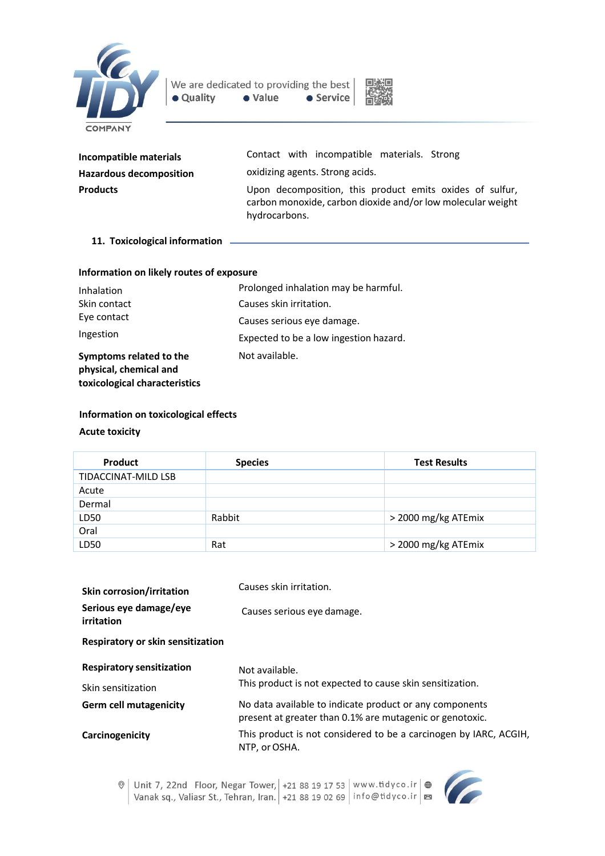



| Incompatible materials         | Contact with incompatible materials. Strong                                                                                              |
|--------------------------------|------------------------------------------------------------------------------------------------------------------------------------------|
| <b>Hazardous decomposition</b> | oxidizing agents. Strong acids.                                                                                                          |
| <b>Products</b>                | Upon decomposition, this product emits oxides of sulfur,<br>carbon monoxide, carbon dioxide and/or low molecular weight<br>hydrocarbons. |

#### **11. Toxicological information**

#### **Information on likely routes of exposure**

| Inhalation                                                                         | Prolonged inhalation may be harmful.   |
|------------------------------------------------------------------------------------|----------------------------------------|
| Skin contact                                                                       | Causes skin irritation.                |
| Eye contact                                                                        | Causes serious eye damage.             |
| Ingestion                                                                          | Expected to be a low ingestion hazard. |
| Symptoms related to the<br>physical, chemical and<br>toxicological characteristics | Not available.                         |

### **Information on toxicological effects**

## **Acute toxicity**

| <b>Product</b>             | <b>Species</b> | <b>Test Results</b> |
|----------------------------|----------------|---------------------|
| <b>TIDACCINAT-MILD LSB</b> |                |                     |
| Acute                      |                |                     |
| Dermal                     |                |                     |
| LD50                       | Rabbit         | > 2000 mg/kg ATEmix |
| Oral                       |                |                     |
| LD50                       | Rat            | > 2000 mg/kg ATEmix |

| <b>Skin corrosion/irritation</b>     | Causes skin irritation.                                                                                             |
|--------------------------------------|---------------------------------------------------------------------------------------------------------------------|
| Serious eye damage/eye<br>irritation | Causes serious eye damage.                                                                                          |
| Respiratory or skin sensitization    |                                                                                                                     |
| <b>Respiratory sensitization</b>     | Not available.                                                                                                      |
| Skin sensitization                   | This product is not expected to cause skin sensitization.                                                           |
| <b>Germ cell mutagenicity</b>        | No data available to indicate product or any components<br>present at greater than 0.1% are mutagenic or genotoxic. |
| Carcinogenicity                      | This product is not considered to be a carcinogen by IARC, ACGIH,<br>NTP, or OSHA.                                  |

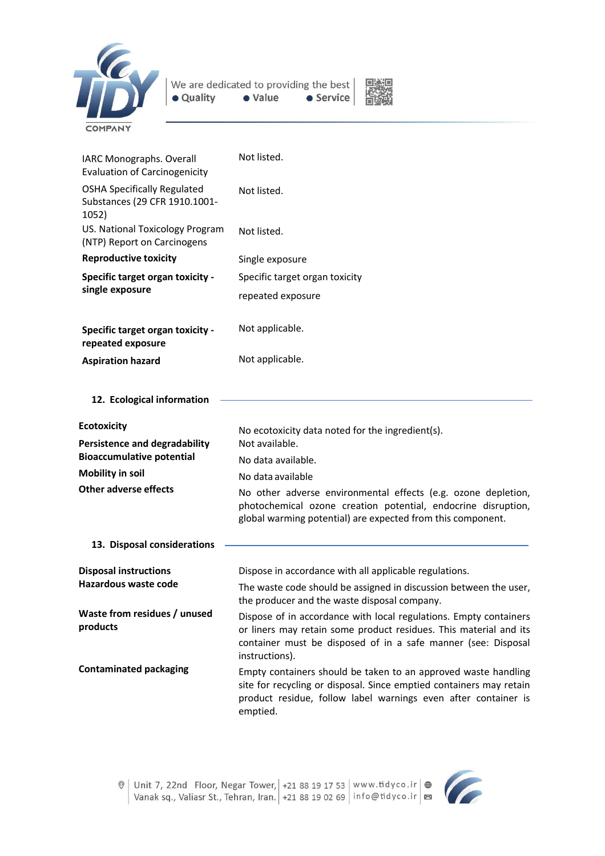



| IARC Monographs. Overall<br><b>Evaluation of Carcinogenicity</b>             | Not listed.                                                                                                                                                                                                               |
|------------------------------------------------------------------------------|---------------------------------------------------------------------------------------------------------------------------------------------------------------------------------------------------------------------------|
| <b>OSHA Specifically Regulated</b><br>Substances (29 CFR 1910.1001-<br>1052) | Not listed.                                                                                                                                                                                                               |
| US. National Toxicology Program<br>(NTP) Report on Carcinogens               | Not listed.                                                                                                                                                                                                               |
| <b>Reproductive toxicity</b>                                                 | Single exposure                                                                                                                                                                                                           |
| <b>Specific target organ toxicity -</b><br>single exposure                   | Specific target organ toxicity                                                                                                                                                                                            |
|                                                                              | repeated exposure                                                                                                                                                                                                         |
| <b>Specific target organ toxicity -</b><br>repeated exposure                 | Not applicable.                                                                                                                                                                                                           |
| <b>Aspiration hazard</b>                                                     | Not applicable.                                                                                                                                                                                                           |
| 12. Ecological information                                                   |                                                                                                                                                                                                                           |
| <b>Ecotoxicity</b>                                                           | No ecotoxicity data noted for the ingredient(s).                                                                                                                                                                          |
| <b>Persistence and degradability</b><br>Not available.                       |                                                                                                                                                                                                                           |
| <b>Bioaccumulative potential</b>                                             | No data available.                                                                                                                                                                                                        |
| <b>Mobility in soil</b>                                                      | No data available                                                                                                                                                                                                         |
| <b>Other adverse effects</b>                                                 | No other adverse environmental effects (e.g. ozone depletion,<br>photochemical ozone creation potential, endocrine disruption,<br>global warming potential) are expected from this component.                             |
| 13. Disposal considerations                                                  |                                                                                                                                                                                                                           |
| <b>Disposal instructions</b>                                                 | Dispose in accordance with all applicable regulations.                                                                                                                                                                    |
| Hazardous waste code                                                         | The waste code should be assigned in discussion between the user,<br>the producer and the waste disposal company.                                                                                                         |
| Waste from residues / unused<br>products                                     | Dispose of in accordance with local regulations. Empty containers<br>or liners may retain some product residues. This material and its<br>container must be disposed of in a safe manner (see: Disposal<br>instructions). |
| <b>Contaminated packaging</b>                                                | Empty containers should be taken to an approved waste handling<br>site for recycling or disposal. Since emptied containers may retain<br>product residue, follow label warnings even after container is<br>emptied.       |

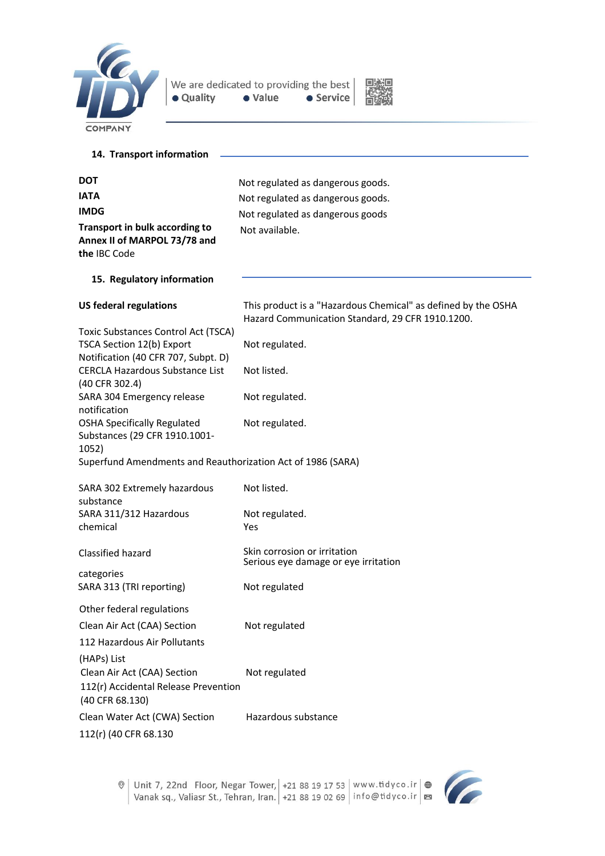

We are dedicated to providing the best | · Value · Quality  $\bullet$  Service



| 14. Transport information                                                                               |                                                                                                                   |
|---------------------------------------------------------------------------------------------------------|-------------------------------------------------------------------------------------------------------------------|
|                                                                                                         |                                                                                                                   |
| <b>DOT</b>                                                                                              | Not regulated as dangerous goods.                                                                                 |
| <b>IATA</b>                                                                                             | Not regulated as dangerous goods.                                                                                 |
| <b>IMDG</b>                                                                                             | Not regulated as dangerous goods                                                                                  |
| Transport in bulk according to<br>Annex II of MARPOL 73/78 and<br>the IBC Code                          | Not available.                                                                                                    |
| 15. Regulatory information                                                                              |                                                                                                                   |
| <b>US federal regulations</b>                                                                           | This product is a "Hazardous Chemical" as defined by the OSHA<br>Hazard Communication Standard, 29 CFR 1910.1200. |
| Toxic Substances Control Act (TSCA)<br>TSCA Section 12(b) Export<br>Notification (40 CFR 707, Subpt. D) | Not regulated.                                                                                                    |
| <b>CERCLA Hazardous Substance List</b><br>(40 CFR 302.4)                                                | Not listed.                                                                                                       |
| SARA 304 Emergency release<br>notification                                                              | Not regulated.                                                                                                    |
| <b>OSHA Specifically Regulated</b><br>Substances (29 CFR 1910.1001-<br>1052)                            | Not regulated.                                                                                                    |
| Superfund Amendments and Reauthorization Act of 1986 (SARA)                                             |                                                                                                                   |
| SARA 302 Extremely hazardous<br>substance                                                               | Not listed.                                                                                                       |
| SARA 311/312 Hazardous<br>chemical                                                                      | Not regulated.<br>Yes                                                                                             |
| Classified hazard                                                                                       | Skin corrosion or irritation<br>Serious eye damage or eye irritation                                              |
| categories<br>SARA 313 (TRI reporting)                                                                  | Not regulated                                                                                                     |
| Other federal regulations                                                                               |                                                                                                                   |
| Clean Air Act (CAA) Section                                                                             | Not regulated                                                                                                     |
| 112 Hazardous Air Pollutants                                                                            |                                                                                                                   |
| (HAPs) List                                                                                             |                                                                                                                   |
| Clean Air Act (CAA) Section<br>112(r) Accidental Release Prevention<br>(40 CFR 68.130)                  | Not regulated                                                                                                     |
| Clean Water Act (CWA) Section                                                                           | Hazardous substance                                                                                               |
| 112(r) (40 CFR 68.130                                                                                   |                                                                                                                   |



C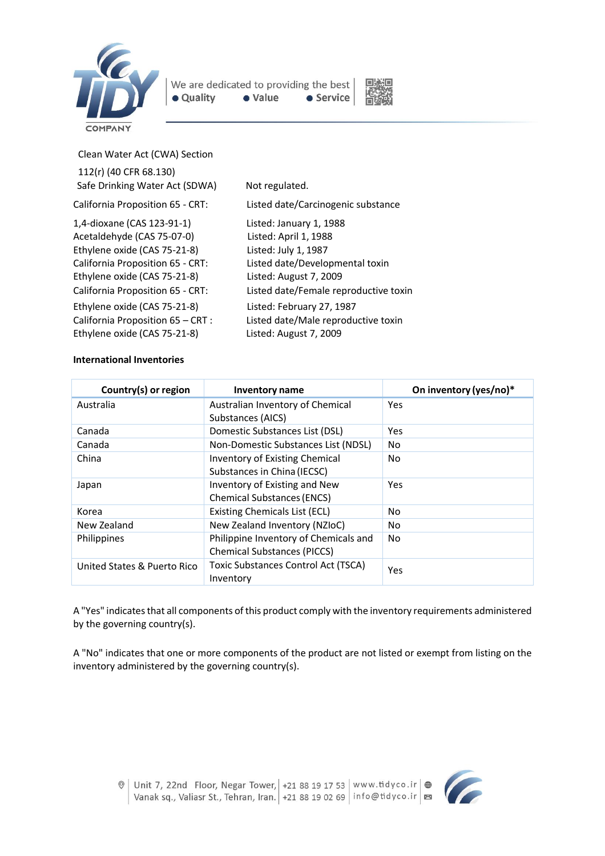



Clean Water Act (CWA) Section

| 112(r) (40 CFR 68.130)<br>Safe Drinking Water Act (SDWA)                                                                                                                                                                                                                                              | Not regulated.                                                                                                                                                                                                                                                               |
|-------------------------------------------------------------------------------------------------------------------------------------------------------------------------------------------------------------------------------------------------------------------------------------------------------|------------------------------------------------------------------------------------------------------------------------------------------------------------------------------------------------------------------------------------------------------------------------------|
| California Proposition 65 - CRT:                                                                                                                                                                                                                                                                      | Listed date/Carcinogenic substance                                                                                                                                                                                                                                           |
| 1,4-dioxane (CAS 123-91-1)<br>Acetaldehyde (CAS 75-07-0)<br>Ethylene oxide (CAS 75-21-8)<br>California Proposition 65 - CRT:<br>Ethylene oxide (CAS 75-21-8)<br>California Proposition 65 - CRT:<br>Ethylene oxide (CAS 75-21-8)<br>California Proposition 65 - CRT :<br>Ethylene oxide (CAS 75-21-8) | Listed: January 1, 1988<br>Listed: April 1, 1988<br>Listed: July 1, 1987<br>Listed date/Developmental toxin<br>Listed: August 7, 2009<br>Listed date/Female reproductive toxin<br>Listed: February 27, 1987<br>Listed date/Male reproductive toxin<br>Listed: August 7, 2009 |
|                                                                                                                                                                                                                                                                                                       |                                                                                                                                                                                                                                                                              |

### **International Inventories**

| Country(s) or region        | <b>Inventory name</b>                                   | On inventory (yes/no)* |
|-----------------------------|---------------------------------------------------------|------------------------|
| Australia                   | Australian Inventory of Chemical                        | Yes                    |
|                             | Substances (AICS)                                       |                        |
| Canada                      | Domestic Substances List (DSL)                          | Yes                    |
| Canada                      | Non-Domestic Substances List (NDSL)                     | No                     |
| China                       | Inventory of Existing Chemical                          | No                     |
|                             | Substances in China (IECSC)                             |                        |
| Japan                       | Inventory of Existing and New                           | Yes                    |
|                             | <b>Chemical Substances (ENCS)</b>                       |                        |
| Korea                       | Existing Chemicals List (ECL)                           | No.                    |
| New Zealand                 | New Zealand Inventory (NZIoC)                           | No.                    |
| <b>Philippines</b>          | Philippine Inventory of Chemicals and                   | N <sub>0</sub>         |
|                             | <b>Chemical Substances (PICCS)</b>                      |                        |
| United States & Puerto Rico | <b>Toxic Substances Control Act (TSCA)</b><br>Inventory | Yes                    |
|                             |                                                         |                        |

A "Yes" indicates that all components of this product comply with the inventory requirements administered by the governing country(s).

A "No" indicates that one or more components of the product are not listed or exempt from listing on the inventory administered by the governing country(s).